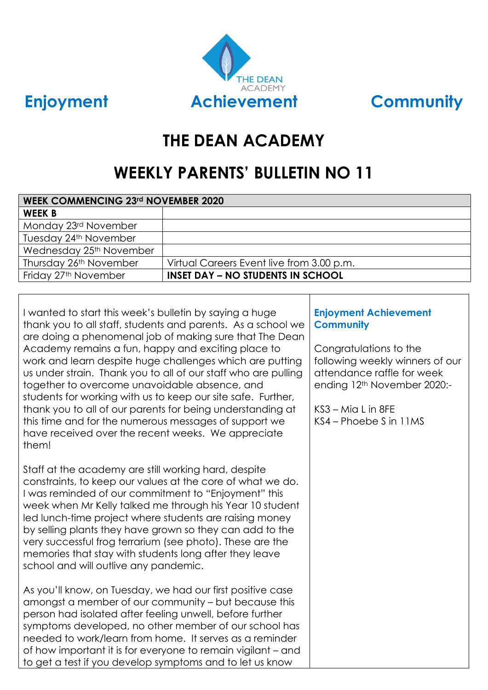



## **THE DEAN ACADEMY**

# **WEEKLY PARENTS' BULLETIN NO 11**

| <b>WEEK COMMENCING 23rd NOVEMBER 2020</b> |                                           |  |
|-------------------------------------------|-------------------------------------------|--|
| <b>WEEK B</b>                             |                                           |  |
| Monday 23rd November                      |                                           |  |
| Tuesday 24 <sup>th</sup> November         |                                           |  |
| Wednesday 25 <sup>th</sup> November       |                                           |  |
| Thursday 26th November                    | Virtual Careers Event live from 3.00 p.m. |  |
| Friday 27 <sup>th</sup> November          | <b>INSET DAY - NO STUDENTS IN SCHOOL</b>  |  |

I wanted to start this week's bulletin by saying a huge thank you to all staff, students and parents. As a school we are doing a phenomenal job of making sure that The Dean Academy remains a fun, happy and exciting place to work and learn despite huge challenges which are putting us under strain. Thank you to all of our staff who are pulling together to overcome unavoidable absence, and students for working with us to keep our site safe. Further, thank you to all of our parents for being understanding at this time and for the numerous messages of support we have received over the recent weeks. We appreciate them!

Staff at the academy are still working hard, despite constraints, to keep our values at the core of what we do. I was reminded of our commitment to "Enjoyment" this week when Mr Kelly talked me through his Year 10 student led lunch-time project where students are raising money by selling plants they have grown so they can add to the very successful frog terrarium (see photo). These are the memories that stay with students long after they leave school and will outlive any pandemic.

As you'll know, on Tuesday, we had our first positive case amongst a member of our community – but because this person had isolated after feeling unwell, before further symptoms developed, no other member of our school has needed to work/learn from home. It serves as a reminder of how important it is for everyone to remain vigilant – and to get a test if you develop symptoms and to let us know

## **Enjoyment Achievement Community**

Congratulations to the following weekly winners of our attendance raffle for week ending 12th November 2020:-

 $KSS - M\bar{G}$  L in  $8FF$ KS4 – Phoebe S in 11MS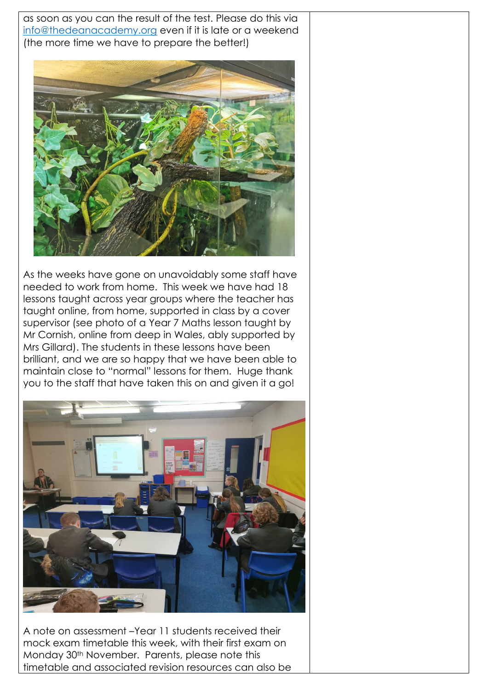as soon as you can the result of the test. Please do this via [info@thedeanacademy.org](mailto:info@thedeanacademy.org) even if it is late or a weekend (the more time we have to prepare the better!)



As the weeks have gone on unavoidably some staff have needed to work from home. This week we have had 18 lessons taught across year groups where the teacher has taught online, from home, supported in class by a cover supervisor (see photo of a Year 7 Maths lesson taught by Mr Cornish, online from deep in Wales, ably supported by Mrs Gillard). The students in these lessons have been brilliant, and we are so happy that we have been able to maintain close to "normal" lessons for them. Huge thank you to the staff that have taken this on and given it a go!



A note on assessment –Year 11 students received their mock exam timetable this week, with their first exam on Monday 30th November. Parents, please note this timetable and associated revision resources can also be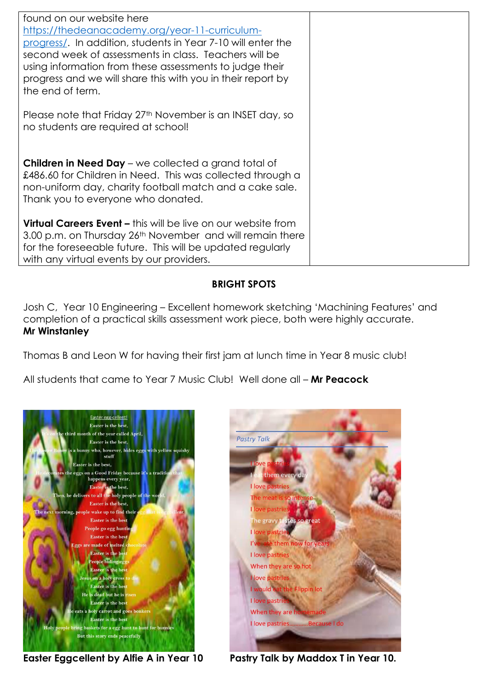| found on our website here                                            |  |
|----------------------------------------------------------------------|--|
| https://thedeanacademy.org/year-11-curriculum-                       |  |
| progress/. In addition, students in Year 7-10 will enter the         |  |
| second week of assessments in class. Teachers will be                |  |
| using information from these assessments to judge their              |  |
| progress and we will share this with you in their report by          |  |
| the end of term.                                                     |  |
|                                                                      |  |
| Please note that Friday 27th November is an INSET day, so            |  |
| no students are required at school!                                  |  |
|                                                                      |  |
|                                                                      |  |
| <b>Children in Need Day</b> – we collected a grand total of          |  |
| £486.60 for Children in Need. This was collected through a           |  |
| non-uniform day, charity football match and a cake sale.             |  |
| Thank you to everyone who donated.                                   |  |
| <b>Virtual Careers Event – this will be live on our website from</b> |  |
| 3.00 p.m. on Thursday 26th November and will remain there            |  |
| for the foreseeable future. This will be updated regularly           |  |
| with any virtual events by our providers.                            |  |

### **BRIGHT SPOTS**

Josh C, Year 10 Engineering – Excellent homework sketching 'Machining Features' and completion of a practical skills assessment work piece, both were highly accurate. **Mr Winstanley**

Thomas B and Leon W for having their first jam at lunch time in Year 8 music club!

All students that came to Year 7 Music Club! Well done all – **Mr Peacock**





**Easter Eggcellent by Alfie A in Year 10 Pastry Talk by Maddox T in Year 10.**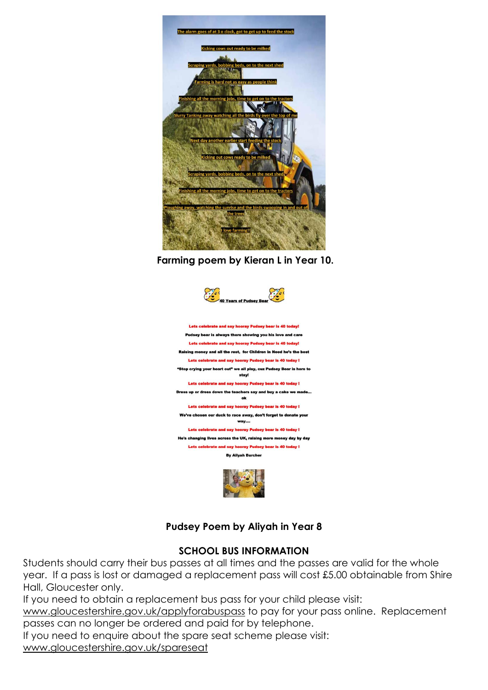

**Farming poem by Kieran L in Year 10.**



## **Pudsey Poem by Aliyah in Year 8**

#### **SCHOOL BUS INFORMATION**

Students should carry their bus passes at all times and the passes are valid for the whole year. If a pass is lost or damaged a replacement pass will cost £5.00 obtainable from Shire Hall, Gloucester only.

If you need to obtain a replacement bus pass for your child please visit:

[www.gloucestershire.gov.uk/applyforabuspass](http://www.gloucestershire.gov.uk/applyforabuspass) to pay for your pass online. Replacement passes can no longer be ordered and paid for by telephone.

If you need to enquire about the spare seat scheme please visit:

[www.gloucestershire.gov.uk/spareseat](http://www.gloucestershire.gov.uk/spareseat)